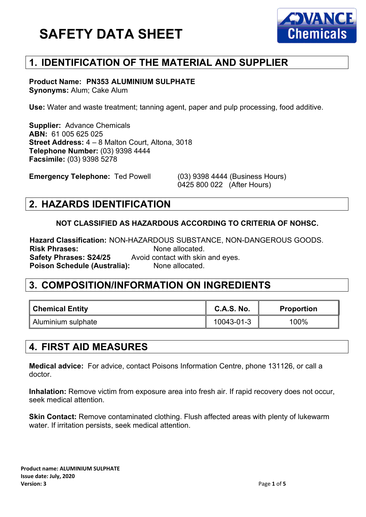

## **1. IDENTIFICATION OF THE MATERIAL AND SUPPLIER**

#### **Product Name: PN353 ALUMINIUM SULPHATE Synonyms:** Alum; Cake Alum

**Use:** Water and waste treatment; tanning agent, paper and pulp processing, food additive.

**Supplier:** Advance Chemicals **ABN:** 61 005 625 025 **Street Address:** 4 – 8 Malton Court, Altona, 3018 **Telephone Number:** (03) 9398 4444 **Facsimile:** (03) 9398 5278

**Emergency Telephone:** Ted Powell (03) 9398 4444 (Business Hours)

0425 800 022 (After Hours)

### **2. HAZARDS IDENTIFICATION**

#### **NOT CLASSIFIED AS HAZARDOUS ACCORDING TO CRITERIA OF NOHSC.**

**Hazard Classification:** NON-HAZARDOUS SUBSTANCE, NON-DANGEROUS GOODS. **Risk Phrases: None allocated.**<br>**Safety Phrases: S24/25** Avoid contact with skin Avoid contact with skin and eyes. **Poison Schedule (Australia):** None allocated.

#### **3. COMPOSITION/INFORMATION ON INGREDIENTS**

| ∥ Chemical Entity  | <b>C.A.S. No.</b> | <b>Proportion</b> |
|--------------------|-------------------|-------------------|
| Aluminium sulphate | 10043-01-3        | 100%              |

### **4. FIRST AID MEASURES**

**Medical advice:** For advice, contact Poisons Information Centre, phone 131126, or call a doctor.

**Inhalation:** Remove victim from exposure area into fresh air. If rapid recovery does not occur, seek medical attention.

**Skin Contact:** Remove contaminated clothing. Flush affected areas with plenty of lukewarm water. If irritation persists, seek medical attention.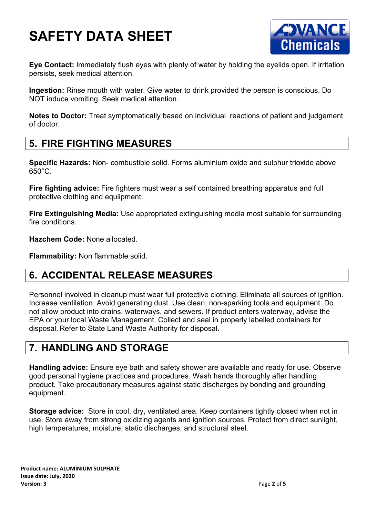

**Eye Contact:** Immediately flush eyes with plenty of water by holding the eyelids open. If irritation persists, seek medical attention.

**Ingestion:** Rinse mouth with water. Give water to drink provided the person is conscious. Do NOT induce vomiting. Seek medical attention.

**Notes to Doctor:** Treat symptomatically based on individual reactions of patient and judgement of doctor.

## **5. FIRE FIGHTING MEASURES**

**Specific Hazards:** Non- combustible solid. Forms aluminium oxide and sulphur trioxide above 650°C.

**Fire fighting advice:** Fire fighters must wear a self contained breathing apparatus and full protective clothing and equiipment.

**Fire Extinguishing Media:** Use appropriated extinguishing media most suitable for surrounding fire conditions

**Hazchem Code:** None allocated.

**Flammability:** Non flammable solid.

# **6. ACCIDENTAL RELEASE MEASURES**

Personnel involved in cleanup must wear full protective clothing. Eliminate all sources of ignition. Increase ventilation. Avoid generating dust. Use clean, non-sparking tools and equipment. Do not allow product into drains, waterways, and sewers. If product enters waterway, advise the EPA or your local Waste Management. Collect and seal in properly labelled containers for disposal. Refer to State Land Waste Authority for disposal.

## **7. HANDLING AND STORAGE**

**Handling advice:** Ensure eye bath and safety shower are available and ready for use. Observe good personal hygiene practices and procedures. Wash hands thoroughly after handling product. Take precautionary measures against static discharges by bonding and grounding equipment.

**Storage advice:** Store in cool, dry, ventilated area. Keep containers tightly closed when not in use. Store away from strong oxidizing agents and ignition sources. Protect from direct sunlight, high temperatures, moisture, static discharges, and structural steel.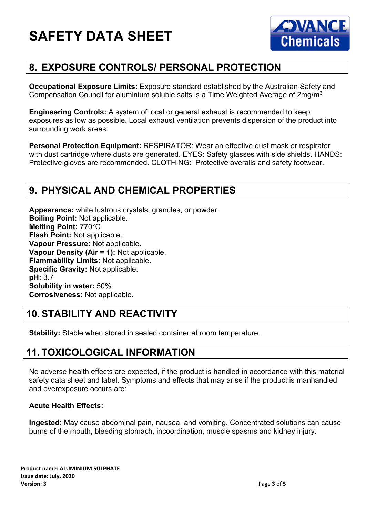

## **8. EXPOSURE CONTROLS/ PERSONAL PROTECTION**

**Occupational Exposure Limits:** Exposure standard established by the Australian Safety and Compensation Council for aluminium soluble salts is a Time Weighted Average of 2mg/m3

**Engineering Controls:** A system of local or general exhaust is recommended to keep exposures as low as possible. Local exhaust ventilation prevents dispersion of the product into surrounding work areas.

**Personal Protection Equipment:** RESPIRATOR: Wear an effective dust mask or respirator with dust cartridge where dusts are generated. EYES: Safety glasses with side shields. HANDS: Protective gloves are recommended. CLOTHING: Protective overalls and safety footwear.

## **9. PHYSICAL AND CHEMICAL PROPERTIES**

**Appearance:** white lustrous crystals, granules, or powder. **Boiling Point:** Not applicable. **Melting Point:** 770°C **Flash Point:** Not applicable. **Vapour Pressure:** Not applicable. **Vapour Density (Air = 1):** Not applicable. **Flammability Limits:** Not applicable. **Specific Gravity:** Not applicable. **pH:** 3.7 **Solubility in water:** 50% **Corrosiveness:** Not applicable.

## **10.STABILITY AND REACTIVITY**

**Stability:** Stable when stored in sealed container at room temperature.

## **11. TOXICOLOGICAL INFORMATION**

No adverse health effects are expected, if the product is handled in accordance with this material safety data sheet and label. Symptoms and effects that may arise if the product is manhandled and overexposure occurs are:

#### **Acute Health Effects:**

**Ingested:** May cause abdominal pain, nausea, and vomiting. Concentrated solutions can cause burns of the mouth, bleeding stomach, incoordination, muscle spasms and kidney injury.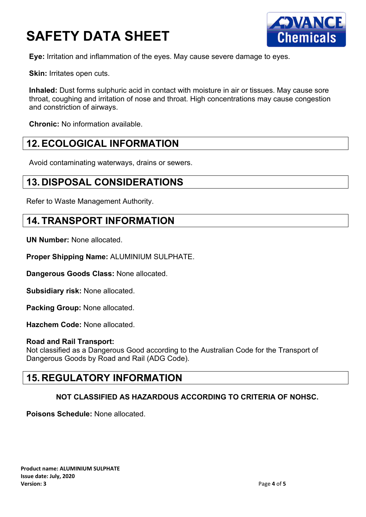

**Eye:** Irritation and inflammation of the eyes. May cause severe damage to eyes.

**Skin: Irritates open cuts.** 

**Inhaled:** Dust forms sulphuric acid in contact with moisture in air or tissues. May cause sore throat, coughing and irritation of nose and throat. High concentrations may cause congestion and constriction of airways.

**Chronic:** No information available.

### **12.ECOLOGICAL INFORMATION**

Avoid contaminating waterways, drains or sewers.

#### **13. DISPOSAL CONSIDERATIONS**

Refer to Waste Management Authority.

#### **14. TRANSPORT INFORMATION**

**UN Number:** None allocated.

**Proper Shipping Name:** ALUMINIUM SULPHATE.

**Dangerous Goods Class:** None allocated.

**Subsidiary risk:** None allocated.

**Packing Group:** None allocated.

**Hazchem Code:** None allocated.

#### **Road and Rail Transport:**

Not classified as a Dangerous Good according to the Australian Code for the Transport of Dangerous Goods by Road and Rail (ADG Code).

#### **15. REGULATORY INFORMATION**

#### **NOT CLASSIFIED AS HAZARDOUS ACCORDING TO CRITERIA OF NOHSC.**

**Poisons Schedule:** None allocated.